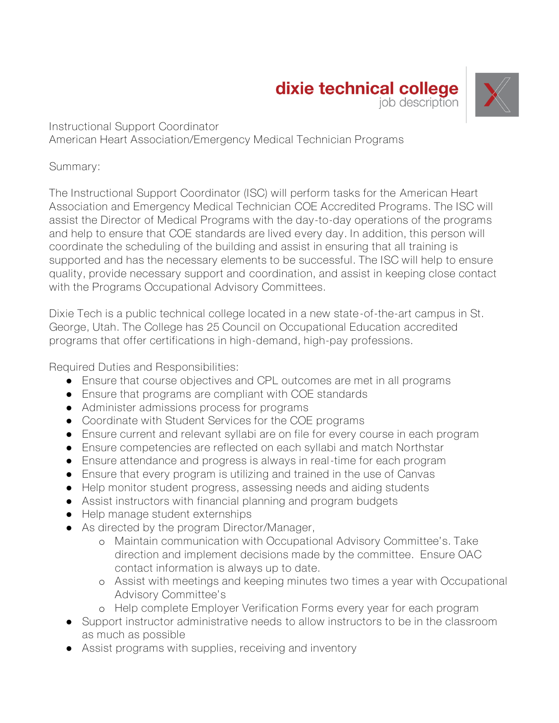## dixie technical college job description



Instructional Support Coordinator American Heart Association/Emergency Medical Technician Programs

## Summary:

The Instructional Support Coordinator (ISC) will perform tasks for the American Heart Association and Emergency Medical Technician COE Accredited Programs. The ISC will assist the Director of Medical Programs with the day-to-day operations of the programs and help to ensure that COE standards are lived every day. In addition, this person will coordinate the scheduling of the building and assist in ensuring that all training is supported and has the necessary elements to be successful. The ISC will help to ensure quality, provide necessary support and coordination, and assist in keeping close contact with the Programs Occupational Advisory Committees.

Dixie Tech is a public technical college located in a new state-of-the-art campus in St. George, Utah. The College has 25 Council on Occupational Education accredited programs that offer certifications in high-demand, high-pay professions.

Required Duties and Responsibilities:

- Ensure that course objectives and CPL outcomes are met in all programs
- Ensure that programs are compliant with COE standards
- Administer admissions process for programs
- Coordinate with Student Services for the COE programs
- Ensure current and relevant syllabi are on file for every course in each program
- Ensure competencies are reflected on each syllabi and match Northstar
- Ensure attendance and progress is always in real-time for each program
- Ensure that every program is utilizing and trained in the use of Canvas
- Help monitor student progress, assessing needs and aiding students
- Assist instructors with financial planning and program budgets
- Help manage student externships
- As directed by the program Director/Manager,
	- o Maintain communication with Occupational Advisory Committee's. Take direction and implement decisions made by the committee. Ensure OAC contact information is always up to date.
	- o Assist with meetings and keeping minutes two times a year with Occupational Advisory Committee's
	- o Help complete Employer Verification Forms every year for each program
- Support instructor administrative needs to allow instructors to be in the classroom as much as possible
- Assist programs with supplies, receiving and inventory